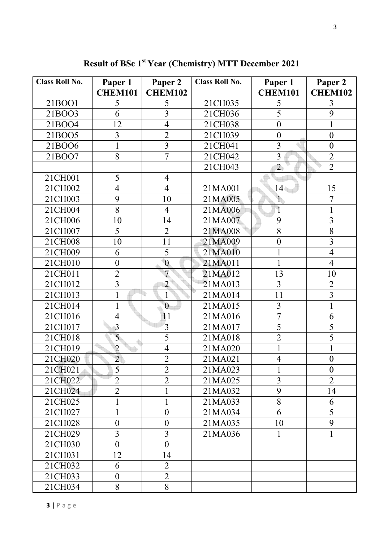| <b>Class Roll No.</b> | Paper 1          | Paper 2          | <b>Class Roll No.</b> | Paper 1          | Paper 2          |
|-----------------------|------------------|------------------|-----------------------|------------------|------------------|
|                       | <b>CHEM101</b>   | <b>CHEM102</b>   |                       | <b>CHEM101</b>   | <b>CHEM102</b>   |
| 21BOO1                | 5                | 5                | 21CH035               | 5                | 3                |
| 21BOO3                | 6                | 3                | 21CH036               | 5                | 9                |
| 21BOO4                | 12               | $\overline{4}$   | 21CH038               | $\boldsymbol{0}$ |                  |
| 21BOO5                | $\overline{3}$   | $\overline{2}$   | 21CH039               | $\boldsymbol{0}$ | $\boldsymbol{0}$ |
| 21BOO6                |                  | $\overline{3}$   | 21CH041               | $\overline{3}$   | $\overline{0}$   |
| 21BOO7                | 8                | $\overline{7}$   | 21CH042               | $\overline{3}$   | $\overline{2}$   |
|                       |                  |                  | 21CH043               | $\overline{2}$   | $\overline{2}$   |
| 21CH001               | 5                | $\overline{4}$   |                       |                  |                  |
| 21CH002               | $\overline{4}$   | $\overline{4}$   | 21MA001               | $14-$            | 15               |
| 21CH003               | 9                | 10               | 21MA005               | $\mathbf{1}$     | $\overline{7}$   |
| 21CH004               | 8                | $\overline{4}$   | 21MA006               | $\mathbf{1}$     |                  |
| 21CH006               | 10               | 14               | 21MA007               | 9                | $\overline{3}$   |
| 21CH007               | 5                | $\overline{2}$   | 21MA008               | 8                | 8                |
| 21CH008               | 10               | 11               | 21MA009               | $\overline{0}$   | 3                |
| 21CH009               | 6                | 5                | 21MA010               |                  | $\overline{4}$   |
| 21CH010               | $\boldsymbol{0}$ | $\mathbf{0}$     | 21MA011               | $\mathbf{1}$     | $\overline{4}$   |
| 21CH011               | $\overline{2}$   | 7                | 21MA012               | 13               | 10               |
| 21CH012               | $\overline{3}$   | $\overline{2}$   | 21MA013               | $\overline{3}$   | $\overline{2}$   |
| 21CH013               |                  |                  | 21MA014               | 11               | $\overline{3}$   |
| 21CH014               |                  | $\overline{0}$   | 21MA015               | $\overline{3}$   | $\mathbf 1$      |
| 21CH016               | $\overline{4}$   | 11               | 21MA016               | $\overline{7}$   | 6                |
| 21CH017               | $\overline{3}$   | $\overline{3}$   | 21MA017               | 5                | 5                |
| 21CH018               | 5                | 5                | 21MA018               | $\overline{2}$   | 5                |
| 21CH019               | $\overline{2}$   | $\overline{4}$   | 21MA020               |                  |                  |
| 21CH020               | $\overline{2}$   | $\overline{2}$   | 21MA021               | $\overline{4}$   | $\boldsymbol{0}$ |
| 21CH021               | 5                | $\overline{2}$   | 21MA023               |                  | $\theta$         |
| 21CH022               | $\overline{2}$   | $\overline{2}$   | 21MA025               | $\overline{3}$   | $\overline{2}$   |
| 21CH024               | $\overline{2}$   |                  | 21MA032               | 9                | 14               |
| 21CH025               |                  |                  | 21MA033               | 8                | 6                |
| 21CH027               |                  | $\boldsymbol{0}$ | 21MA034               | 6                | 5                |
| 21CH028               | $\overline{0}$   | $\overline{0}$   | 21MA035               | 10               | 9                |
| 21CH029               | 3                | 3                | 21MA036               | 1                |                  |
| 21CH030               | $\boldsymbol{0}$ | $\overline{0}$   |                       |                  |                  |
| 21CH031               | 12               | 14               |                       |                  |                  |
| 21CH032               | 6                | $\overline{2}$   |                       |                  |                  |
| 21CH033               | $\boldsymbol{0}$ | $\overline{2}$   |                       |                  |                  |
| 21CH034               | 8                | 8                |                       |                  |                  |

**Result of BSc 1st Year (Chemistry) MTT December 2021**